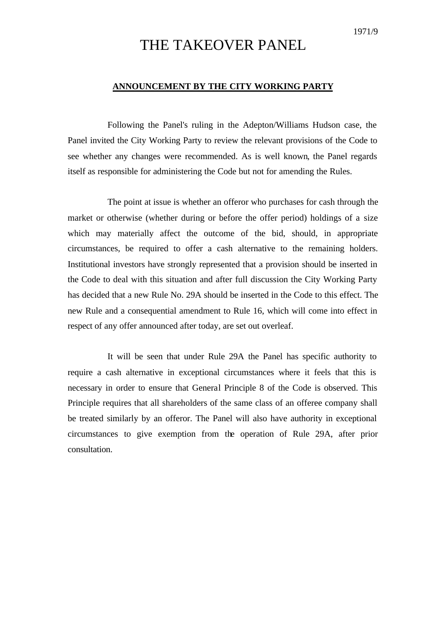# THE TAKEOVER PANEL

### **ANNOUNCEMENT BY THE CITY WORKING PARTY**

Following the Panel's ruling in the Adepton/Williams Hudson case, the Panel invited the City Working Party to review the relevant provisions of the Code to see whether any changes were recommended. As is well known, the Panel regards itself as responsible for administering the Code but not for amending the Rules.

The point at issue is whether an offeror who purchases for cash through the market or otherwise (whether during or before the offer period) holdings of a size which may materially affect the outcome of the bid, should, in appropriate circumstances, be required to offer a cash alternative to the remaining holders. Institutional investors have strongly represented that a provision should be inserted in the Code to deal with this situation and after full discussion the City Working Party has decided that a new Rule No. 29A should be inserted in the Code to this effect. The new Rule and a consequential amendment to Rule 16, which will come into effect in respect of any offer announced after today, are set out overleaf.

It will be seen that under Rule 29A the Panel has specific authority to require a cash alternative in exceptional circumstances where it feels that this is necessary in order to ensure that General Principle 8 of the Code is observed. This Principle requires that all shareholders of the same class of an offeree company shall be treated similarly by an offeror. The Panel will also have authority in exceptional circumstances to give exemption from the operation of Rule 29A, after prior consultation.